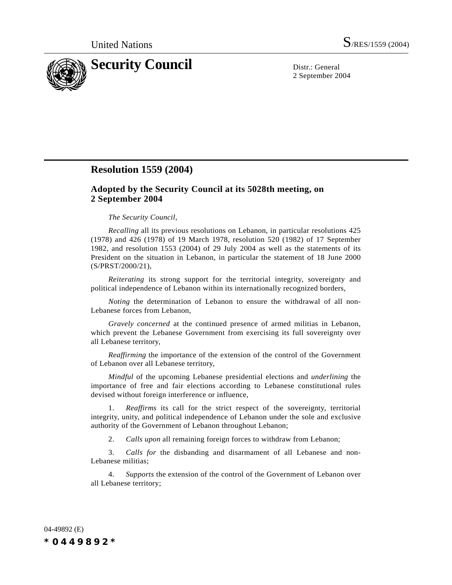

2 September 2004

## **Resolution 1559 (2004)**

## **Adopted by the Security Council at its 5028th meeting, on 2 September 2004**

## *The Security Council*,

*Recalling* all its previous resolutions on Lebanon, in particular resolutions 425 (1978) and 426 (1978) of 19 March 1978, resolution 520 (1982) of 17 September 1982, and resolution 1553 (2004) of 29 July 2004 as well as the statements of its President on the situation in Lebanon, in particular the statement of 18 June 2000 (S/PRST/2000/21),

*Reiterating* its strong support for the territorial integrity, sovereignty and political independence of Lebanon within its internationally recognized borders,

*Noting* the determination of Lebanon to ensure the withdrawal of all non-Lebanese forces from Lebanon,

*Gravely concerned* at the continued presence of armed militias in Lebanon, which prevent the Lebanese Government from exercising its full sovereignty over all Lebanese territory,

*Reaffirming* the importance of the extension of the control of the Government of Lebanon over all Lebanese territory,

*Mindful* of the upcoming Lebanese presidential elections and *underlining* the importance of free and fair elections according to Lebanese constitutional rules devised without foreign interference or influence,

1. *Reaffirms* its call for the strict respect of the sovereignty, territorial integrity, unity, and political independence of Lebanon under the sole and exclusive authority of the Government of Lebanon throughout Lebanon;

2. *Calls upon* all remaining foreign forces to withdraw from Lebanon;

3. *Calls for* the disbanding and disarmament of all Lebanese and non-Lebanese militias;

4. *Supports* the extension of the control of the Government of Lebanon over all Lebanese territory;